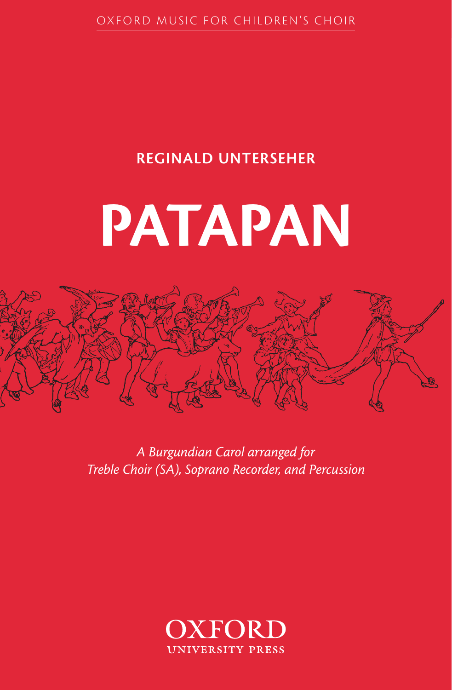OXFORD MUSIC FOR CHILDREN'S CHOIR

### REGINALD UNTERSEHER

## PATAPAN



A Burgundian Carol arranged for Treble Choir (SA), Soprano Recorder, and Percussion

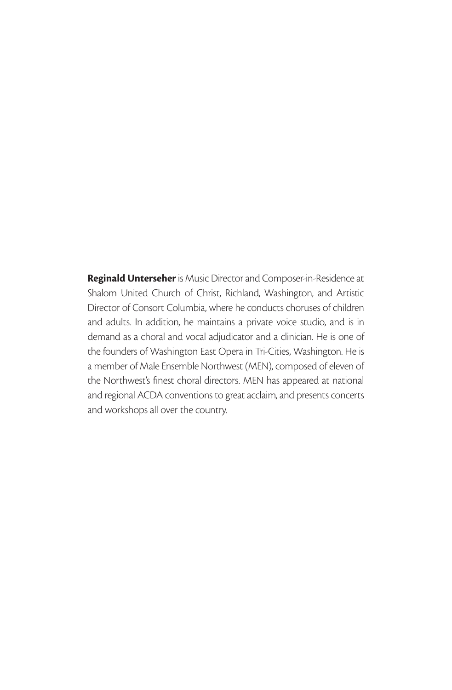Reginald Unterseher is Music Director and Composer-in-Residence at Shalom United Church of Christ, Richland, Washington, and Artistic Director of Consort Columbia, where he conducts choruses of children and adults. In addition, he maintains a private voice studio, and is in demand as a choral and vocal adjudicator and a clinician. He is one of the founders of Washington East Opera in Tri-Cities, Washington. He is a member of Male Ensemble Northwest (MEN), composed of eleven of the Northwest's finest choral directors. MEN has appeared at national and regional ACDA conventions to great acclaim, and presents concerts and workshops all over the country.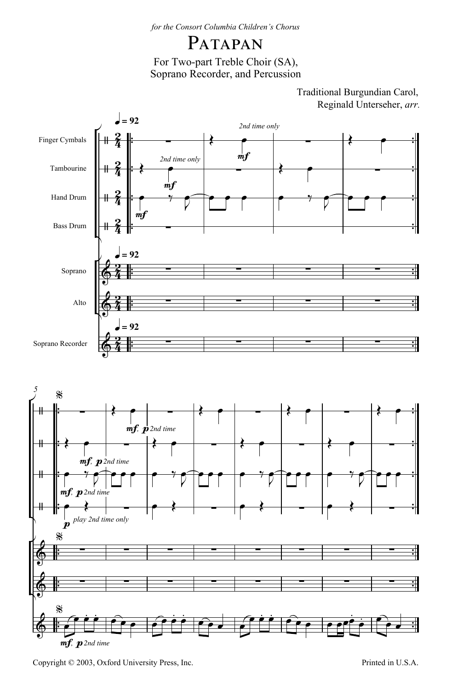### PATAPAN

For Two-part Treble Choir (SA), Soprano Recorder, and Percussion

> Reginald Unterseher, *arr.* Traditional Burgundian Carol,



Copyright © 2003, Oxford University Press, Inc. Printed in U.S.A.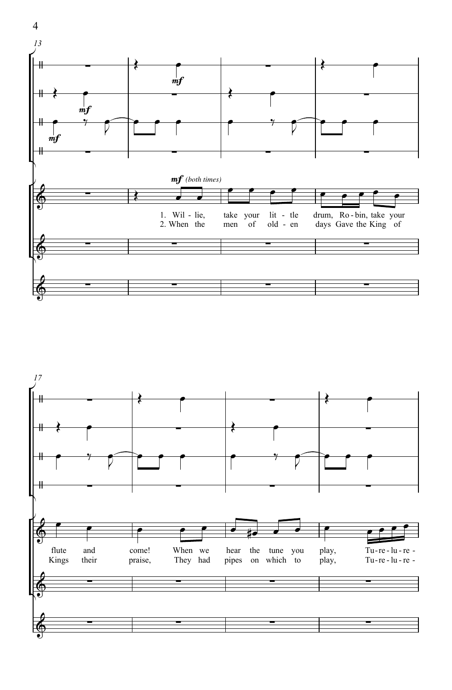



4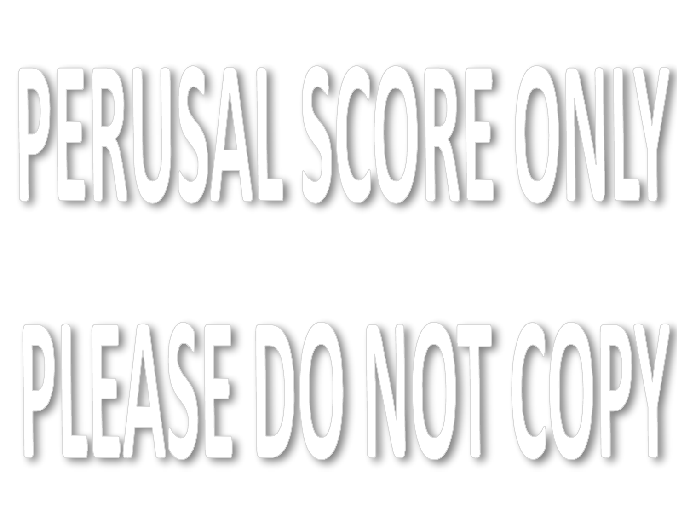# PERUSAL SCORE ONLY

# PLEASE DO NOT COPY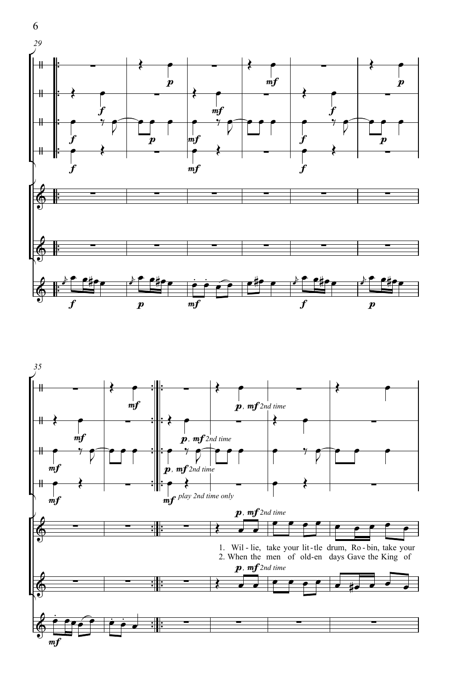



6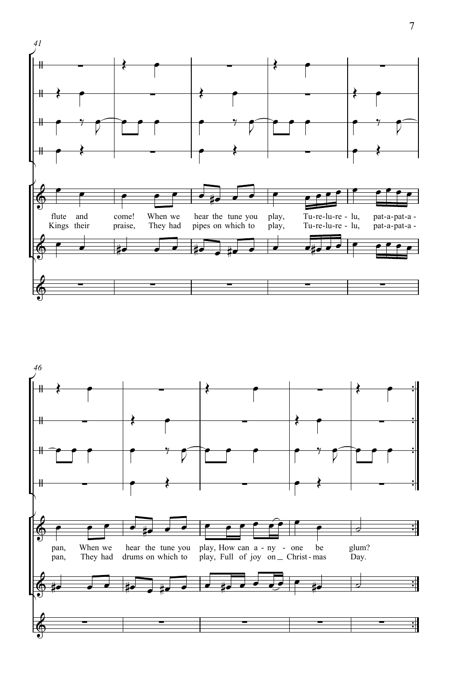

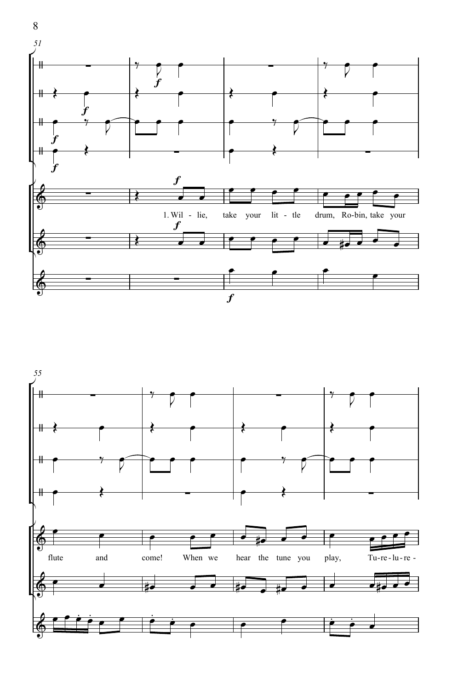

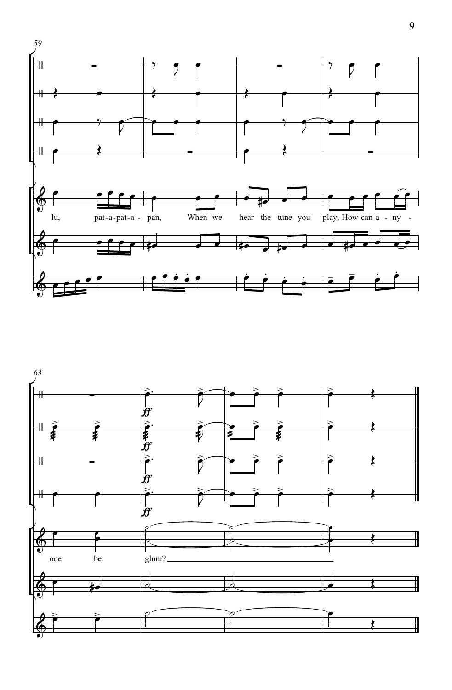